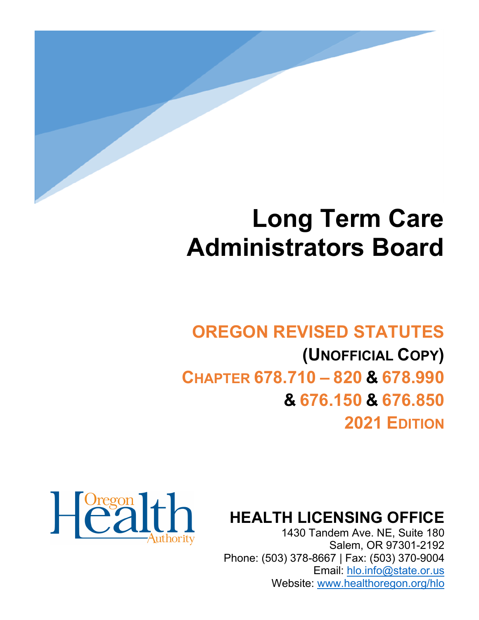

# **Long Term Care Administrators Board**

# **OREGON REVISED STATUTES (UNOFFICIAL COPY) CHAPTER 678.710 – 820 & 678.990 & 676.150 & 676.850**

**2021 EDITION**



**HEALTH LICENSING OFFICE**

1430 Tandem Ave. NE, Suite 180 Salem, OR 97301-2192 Phone: (503) 378-8667 | Fax: (503) 370-9004 Email: [hlo.info@state.or.us](mailto:hlo.info@stae.or.us) Website: [www.healthoregon.org/hlo](http://www.healthoregon.org/hlo)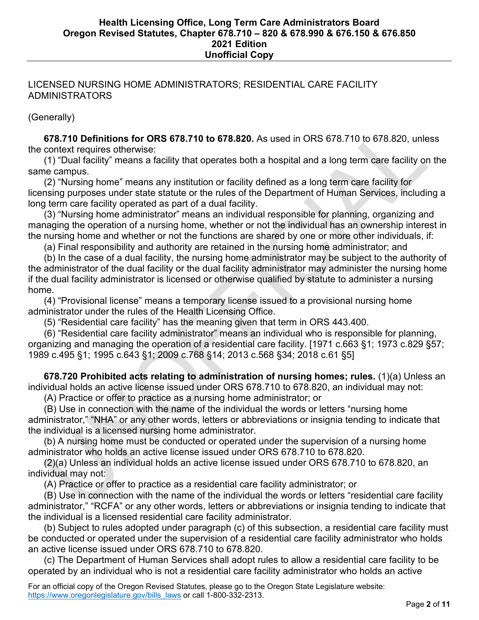# LICENSED NURSING HOME ADMINISTRATORS; RESIDENTIAL CARE FACILITY ADMINISTRATORS

(Generally)

 **678.710 Definitions for ORS 678.710 to 678.820.** As used in ORS 678.710 to 678.820, unless the context requires otherwise:

 (1) "Dual facility" means a facility that operates both a hospital and a long term care facility on the same campus.

 (2) "Nursing home" means any institution or facility defined as a long term care facility for licensing purposes under state statute or the rules of the Department of Human Services, including a long term care facility operated as part of a dual facility.

 (3) "Nursing home administrator" means an individual responsible for planning, organizing and managing the operation of a nursing home, whether or not the individual has an ownership interest in the nursing home and whether or not the functions are shared by one or more other individuals, if:

(a) Final responsibility and authority are retained in the nursing home administrator; and

 (b) In the case of a dual facility, the nursing home administrator may be subject to the authority of the administrator of the dual facility or the dual facility administrator may administer the nursing home if the dual facility administrator is licensed or otherwise qualified by statute to administer a nursing home.

 (4) "Provisional license" means a temporary license issued to a provisional nursing home administrator under the rules of the Health Licensing Office.

(5) "Residential care facility" has the meaning given that term in ORS 443.400.

 (6) "Residential care facility administrator" means an individual who is responsible for planning, organizing and managing the operation of a residential care facility. [1971 c.663 §1; 1973 c.829 §57; 1989 c.495 §1; 1995 c.643 §1; 2009 c.768 §14; 2013 c.568 §34; 2018 c.61 §5]

 **678.720 Prohibited acts relating to administration of nursing homes; rules.** (1)(a) Unless an individual holds an active license issued under ORS 678.710 to 678.820, an individual may not:

(A) Practice or offer to practice as a nursing home administrator; or

 (B) Use in connection with the name of the individual the words or letters "nursing home administrator," "NHA" or any other words, letters or abbreviations or insignia tending to indicate that the individual is a licensed nursing home administrator.

 (b) A nursing home must be conducted or operated under the supervision of a nursing home administrator who holds an active license issued under ORS 678.710 to 678.820.

 (2)(a) Unless an individual holds an active license issued under ORS 678.710 to 678.820, an individual may not:

(A) Practice or offer to practice as a residential care facility administrator; or

 (B) Use in connection with the name of the individual the words or letters "residential care facility administrator," "RCFA" or any other words, letters or abbreviations or insignia tending to indicate that the individual is a licensed residential care facility administrator.

 (b) Subject to rules adopted under paragraph (c) of this subsection, a residential care facility must be conducted or operated under the supervision of a residential care facility administrator who holds an active license issued under ORS 678.710 to 678.820.

 (c) The Department of Human Services shall adopt rules to allow a residential care facility to be operated by an individual who is not a residential care facility administrator who holds an active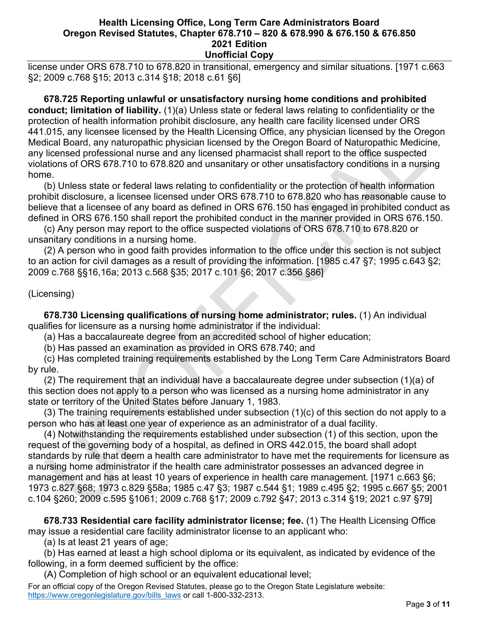license under ORS 678.710 to 678.820 in transitional, emergency and similar situations. [1971 c.663 §2; 2009 c.768 §15; 2013 c.314 §18; 2018 c.61 §6]

 **678.725 Reporting unlawful or unsatisfactory nursing home conditions and prohibited conduct; limitation of liability.** (1)(a) Unless state or federal laws relating to confidentiality or the protection of health information prohibit disclosure, any health care facility licensed under ORS 441.015, any licensee licensed by the Health Licensing Office, any physician licensed by the Oregon Medical Board, any naturopathic physician licensed by the Oregon Board of Naturopathic Medicine, any licensed professional nurse and any licensed pharmacist shall report to the office suspected violations of ORS 678.710 to 678.820 and unsanitary or other unsatisfactory conditions in a nursing home.

 (b) Unless state or federal laws relating to confidentiality or the protection of health information prohibit disclosure, a licensee licensed under ORS 678.710 to 678.820 who has reasonable cause to believe that a licensee of any board as defined in ORS 676.150 has engaged in prohibited conduct as defined in ORS 676.150 shall report the prohibited conduct in the manner provided in ORS 676.150.

 (c) Any person may report to the office suspected violations of ORS 678.710 to 678.820 or unsanitary conditions in a nursing home.

 (2) A person who in good faith provides information to the office under this section is not subject to an action for civil damages as a result of providing the information. [1985 c.47 §7; 1995 c.643 §2; 2009 c.768 §§16,16a; 2013 c.568 §35; 2017 c.101 §6; 2017 c.356 §86]

# (Licensing)

 **678.730 Licensing qualifications of nursing home administrator; rules.** (1) An individual qualifies for licensure as a nursing home administrator if the individual:

(a) Has a baccalaureate degree from an accredited school of higher education;

(b) Has passed an examination as provided in ORS 678.740; and

 (c) Has completed training requirements established by the Long Term Care Administrators Board by rule.

 (2) The requirement that an individual have a baccalaureate degree under subsection (1)(a) of this section does not apply to a person who was licensed as a nursing home administrator in any state or territory of the United States before January 1, 1983.

 (3) The training requirements established under subsection (1)(c) of this section do not apply to a person who has at least one year of experience as an administrator of a dual facility.

 (4) Notwithstanding the requirements established under subsection (1) of this section, upon the request of the governing body of a hospital, as defined in ORS 442.015, the board shall adopt standards by rule that deem a health care administrator to have met the requirements for licensure as a nursing home administrator if the health care administrator possesses an advanced degree in management and has at least 10 years of experience in health care management. [1971 c.663 §6; 1973 c.827 §68; 1973 c.829 §58a; 1985 c.47 §3; 1987 c.544 §1; 1989 c.495 §2; 1995 c.667 §5; 2001 c.104 §260; 2009 c.595 §1061; 2009 c.768 §17; 2009 c.792 §47; 2013 c.314 §19; 2021 c.97 §79]

 **678.733 Residential care facility administrator license; fee.** (1) The Health Licensing Office may issue a residential care facility administrator license to an applicant who:

(a) Is at least 21 years of age;

 (b) Has earned at least a high school diploma or its equivalent, as indicated by evidence of the following, in a form deemed sufficient by the office:

(A) Completion of high school or an equivalent educational level;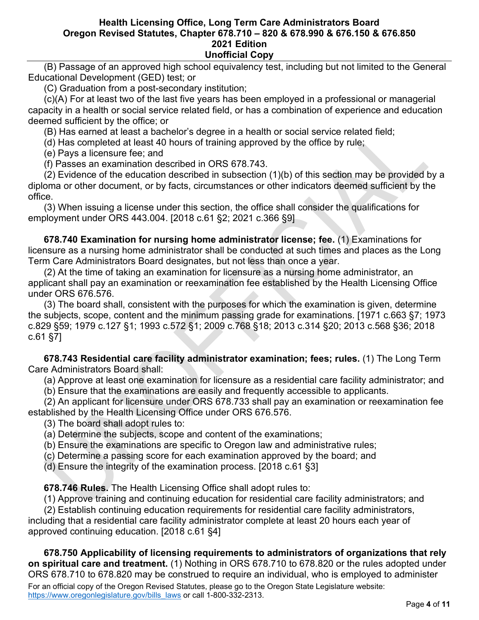(B) Passage of an approved high school equivalency test, including but not limited to the General Educational Development (GED) test; or

(C) Graduation from a post-secondary institution;

 (c)(A) For at least two of the last five years has been employed in a professional or managerial capacity in a health or social service related field, or has a combination of experience and education deemed sufficient by the office; or

(B) Has earned at least a bachelor's degree in a health or social service related field;

(d) Has completed at least 40 hours of training approved by the office by rule;

(e) Pays a licensure fee; and

(f) Passes an examination described in ORS 678.743.

 (2) Evidence of the education described in subsection (1)(b) of this section may be provided by a diploma or other document, or by facts, circumstances or other indicators deemed sufficient by the office.

 (3) When issuing a license under this section, the office shall consider the qualifications for employment under ORS 443.004. [2018 c.61 §2; 2021 c.366 §9]

 **678.740 Examination for nursing home administrator license; fee.** (1) Examinations for licensure as a nursing home administrator shall be conducted at such times and places as the Long Term Care Administrators Board designates, but not less than once a year.

 (2) At the time of taking an examination for licensure as a nursing home administrator, an applicant shall pay an examination or reexamination fee established by the Health Licensing Office under ORS 676.576.

 (3) The board shall, consistent with the purposes for which the examination is given, determine the subjects, scope, content and the minimum passing grade for examinations. [1971 c.663 §7; 1973 c.829 §59; 1979 c.127 §1; 1993 c.572 §1; 2009 c.768 §18; 2013 c.314 §20; 2013 c.568 §36; 2018 c.61 §7]

 **678.743 Residential care facility administrator examination; fees; rules.** (1) The Long Term Care Administrators Board shall:

(a) Approve at least one examination for licensure as a residential care facility administrator; and

(b) Ensure that the examinations are easily and frequently accessible to applicants.

 (2) An applicant for licensure under ORS 678.733 shall pay an examination or reexamination fee established by the Health Licensing Office under ORS 676.576.

(3) The board shall adopt rules to:

(a) Determine the subjects, scope and content of the examinations;

(b) Ensure the examinations are specific to Oregon law and administrative rules;

(c) Determine a passing score for each examination approved by the board; and

(d) Ensure the integrity of the examination process. [2018 c.61 §3]

 **678.746 Rules.** The Health Licensing Office shall adopt rules to:

(1) Approve training and continuing education for residential care facility administrators; and

 (2) Establish continuing education requirements for residential care facility administrators, including that a residential care facility administrator complete at least 20 hours each year of approved continuing education. [2018 c.61 §4]

# **678.750 Applicability of licensing requirements to administrators of organizations that rely**

For an official copy of the Oregon Revised Statutes, please go to the Oregon State Legislature website: [https://www.oregonlegislature.gov/bills\\_laws](https://www.oregonlegislature.gov/bills_laws) or call 1-800-332-2313. **on spiritual care and treatment.** (1) Nothing in ORS 678.710 to 678.820 or the rules adopted under ORS 678.710 to 678.820 may be construed to require an individual, who is employed to administer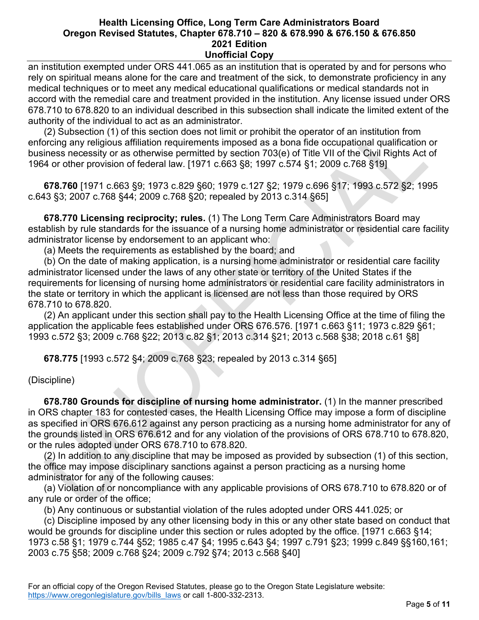an institution exempted under ORS 441.065 as an institution that is operated by and for persons who rely on spiritual means alone for the care and treatment of the sick, to demonstrate proficiency in any medical techniques or to meet any medical educational qualifications or medical standards not in accord with the remedial care and treatment provided in the institution. Any license issued under ORS 678.710 to 678.820 to an individual described in this subsection shall indicate the limited extent of the authority of the individual to act as an administrator.

 (2) Subsection (1) of this section does not limit or prohibit the operator of an institution from enforcing any religious affiliation requirements imposed as a bona fide occupational qualification or business necessity or as otherwise permitted by section 703(e) of Title VII of the Civil Rights Act of 1964 or other provision of federal law. [1971 c.663 §8; 1997 c.574 §1; 2009 c.768 §19]

 **678.760** [1971 c.663 §9; 1973 c.829 §60; 1979 c.127 §2; 1979 c.696 §17; 1993 c.572 §2; 1995 c.643 §3; 2007 c.768 §44; 2009 c.768 §20; repealed by 2013 c.314 §65]

 **678.770 Licensing reciprocity; rules.** (1) The Long Term Care Administrators Board may establish by rule standards for the issuance of a nursing home administrator or residential care facility administrator license by endorsement to an applicant who:

(a) Meets the requirements as established by the board; and

 (b) On the date of making application, is a nursing home administrator or residential care facility administrator licensed under the laws of any other state or territory of the United States if the requirements for licensing of nursing home administrators or residential care facility administrators in the state or territory in which the applicant is licensed are not less than those required by ORS 678.710 to 678.820.

 (2) An applicant under this section shall pay to the Health Licensing Office at the time of filing the application the applicable fees established under ORS 676.576. [1971 c.663 §11; 1973 c.829 §61; 1993 c.572 §3; 2009 c.768 §22; 2013 c.82 §1; 2013 c.314 §21; 2013 c.568 §38; 2018 c.61 §8]

 **678.775** [1993 c.572 §4; 2009 c.768 §23; repealed by 2013 c.314 §65]

(Discipline)

 **678.780 Grounds for discipline of nursing home administrator.** (1) In the manner prescribed in ORS chapter 183 for contested cases, the Health Licensing Office may impose a form of discipline as specified in ORS 676.612 against any person practicing as a nursing home administrator for any of the grounds listed in ORS 676.612 and for any violation of the provisions of ORS 678.710 to 678.820, or the rules adopted under ORS 678.710 to 678.820.

 (2) In addition to any discipline that may be imposed as provided by subsection (1) of this section, the office may impose disciplinary sanctions against a person practicing as a nursing home administrator for any of the following causes:

 (a) Violation of or noncompliance with any applicable provisions of ORS 678.710 to 678.820 or of any rule or order of the office;

(b) Any continuous or substantial violation of the rules adopted under ORS 441.025; or

 (c) Discipline imposed by any other licensing body in this or any other state based on conduct that would be grounds for discipline under this section or rules adopted by the office. [1971 c.663 §14; 1973 c.58 §1; 1979 c.744 §52; 1985 c.47 §4; 1995 c.643 §4; 1997 c.791 §23; 1999 c.849 §§160,161; 2003 c.75 §58; 2009 c.768 §24; 2009 c.792 §74; 2013 c.568 §40]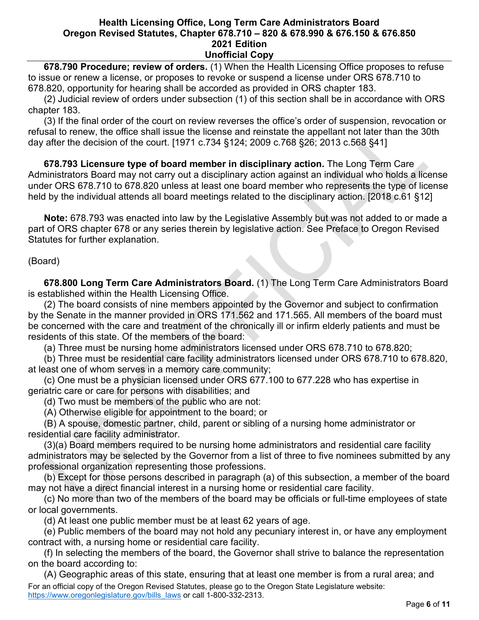**678.790 Procedure; review of orders.** (1) When the Health Licensing Office proposes to refuse to issue or renew a license, or proposes to revoke or suspend a license under ORS 678.710 to 678.820, opportunity for hearing shall be accorded as provided in ORS chapter 183.

 (2) Judicial review of orders under subsection (1) of this section shall be in accordance with ORS chapter 183.

 (3) If the final order of the court on review reverses the office's order of suspension, revocation or refusal to renew, the office shall issue the license and reinstate the appellant not later than the 30th day after the decision of the court. [1971 c.734 §124; 2009 c.768 §26; 2013 c.568 §41]

 **678.793 Licensure type of board member in disciplinary action.** The Long Term Care Administrators Board may not carry out a disciplinary action against an individual who holds a license under ORS 678.710 to 678.820 unless at least one board member who represents the type of license held by the individual attends all board meetings related to the disciplinary action. [2018 c.61 §12]

 **Note:** 678.793 was enacted into law by the Legislative Assembly but was not added to or made a part of ORS chapter 678 or any series therein by legislative action. See Preface to Oregon Revised Statutes for further explanation.

# (Board)

 **678.800 Long Term Care Administrators Board.** (1) The Long Term Care Administrators Board is established within the Health Licensing Office.

 (2) The board consists of nine members appointed by the Governor and subject to confirmation by the Senate in the manner provided in ORS 171.562 and 171.565. All members of the board must be concerned with the care and treatment of the chronically ill or infirm elderly patients and must be residents of this state. Of the members of the board:

(a) Three must be nursing home administrators licensed under ORS 678.710 to 678.820;

 (b) Three must be residential care facility administrators licensed under ORS 678.710 to 678.820, at least one of whom serves in a memory care community;

 (c) One must be a physician licensed under ORS 677.100 to 677.228 who has expertise in geriatric care or care for persons with disabilities; and

(d) Two must be members of the public who are not:

(A) Otherwise eligible for appointment to the board; or

 (B) A spouse, domestic partner, child, parent or sibling of a nursing home administrator or residential care facility administrator.

 (3)(a) Board members required to be nursing home administrators and residential care facility administrators may be selected by the Governor from a list of three to five nominees submitted by any professional organization representing those professions.

 (b) Except for those persons described in paragraph (a) of this subsection, a member of the board may not have a direct financial interest in a nursing home or residential care facility.

 (c) No more than two of the members of the board may be officials or full-time employees of state or local governments.

(d) At least one public member must be at least 62 years of age.

 (e) Public members of the board may not hold any pecuniary interest in, or have any employment contract with, a nursing home or residential care facility.

 (f) In selecting the members of the board, the Governor shall strive to balance the representation on the board according to:

For an official copy of the Oregon Revised Statutes, please go to the Oregon State Legislature website: [https://www.oregonlegislature.gov/bills\\_laws](https://www.oregonlegislature.gov/bills_laws) or call 1-800-332-2313. (A) Geographic areas of this state, ensuring that at least one member is from a rural area; and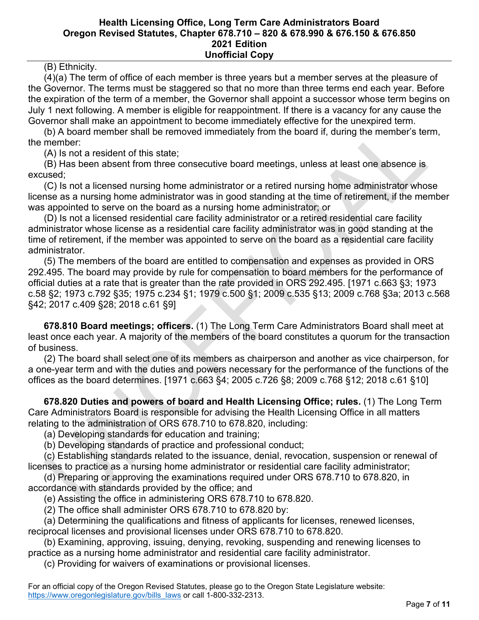# (B) Ethnicity.

 (4)(a) The term of office of each member is three years but a member serves at the pleasure of the Governor. The terms must be staggered so that no more than three terms end each year. Before the expiration of the term of a member, the Governor shall appoint a successor whose term begins on July 1 next following. A member is eligible for reappointment. If there is a vacancy for any cause the Governor shall make an appointment to become immediately effective for the unexpired term.

 (b) A board member shall be removed immediately from the board if, during the member's term, the member:

(A) Is not a resident of this state;

 (B) Has been absent from three consecutive board meetings, unless at least one absence is excused;

 (C) Is not a licensed nursing home administrator or a retired nursing home administrator whose license as a nursing home administrator was in good standing at the time of retirement, if the member was appointed to serve on the board as a nursing home administrator; or

 (D) Is not a licensed residential care facility administrator or a retired residential care facility administrator whose license as a residential care facility administrator was in good standing at the time of retirement, if the member was appointed to serve on the board as a residential care facility administrator.

 (5) The members of the board are entitled to compensation and expenses as provided in ORS 292.495. The board may provide by rule for compensation to board members for the performance of official duties at a rate that is greater than the rate provided in ORS 292.495. [1971 c.663 §3; 1973 c.58 §2; 1973 c.792 §35; 1975 c.234 §1; 1979 c.500 §1; 2009 c.535 §13; 2009 c.768 §3a; 2013 c.568 §42; 2017 c.409 §28; 2018 c.61 §9]

 **678.810 Board meetings; officers.** (1) The Long Term Care Administrators Board shall meet at least once each year. A majority of the members of the board constitutes a quorum for the transaction of business.

 (2) The board shall select one of its members as chairperson and another as vice chairperson, for a one-year term and with the duties and powers necessary for the performance of the functions of the offices as the board determines. [1971 c.663 §4; 2005 c.726 §8; 2009 c.768 §12; 2018 c.61 §10]

 **678.820 Duties and powers of board and Health Licensing Office; rules.** (1) The Long Term Care Administrators Board is responsible for advising the Health Licensing Office in all matters relating to the administration of ORS 678.710 to 678.820, including:

(a) Developing standards for education and training;

(b) Developing standards of practice and professional conduct;

 (c) Establishing standards related to the issuance, denial, revocation, suspension or renewal of licenses to practice as a nursing home administrator or residential care facility administrator;

 (d) Preparing or approving the examinations required under ORS 678.710 to 678.820, in accordance with standards provided by the office; and

(e) Assisting the office in administering ORS 678.710 to 678.820.

(2) The office shall administer ORS 678.710 to 678.820 by:

 (a) Determining the qualifications and fitness of applicants for licenses, renewed licenses, reciprocal licenses and provisional licenses under ORS 678.710 to 678.820.

 (b) Examining, approving, issuing, denying, revoking, suspending and renewing licenses to practice as a nursing home administrator and residential care facility administrator.

(c) Providing for waivers of examinations or provisional licenses.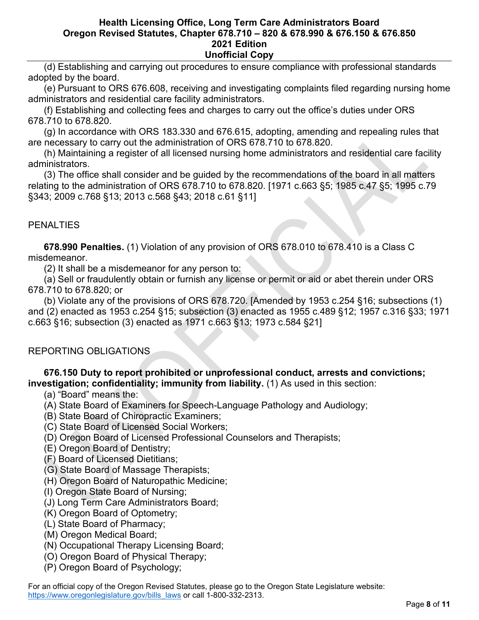(d) Establishing and carrying out procedures to ensure compliance with professional standards adopted by the board.

 (e) Pursuant to ORS 676.608, receiving and investigating complaints filed regarding nursing home administrators and residential care facility administrators.

 (f) Establishing and collecting fees and charges to carry out the office's duties under ORS 678.710 to 678.820.

 (g) In accordance with ORS 183.330 and 676.615, adopting, amending and repealing rules that are necessary to carry out the administration of ORS 678.710 to 678.820.

 (h) Maintaining a register of all licensed nursing home administrators and residential care facility administrators.

 (3) The office shall consider and be guided by the recommendations of the board in all matters relating to the administration of ORS 678.710 to 678.820. [1971 c.663 §5; 1985 c.47 §5; 1995 c.79 §343; 2009 c.768 §13; 2013 c.568 §43; 2018 c.61 §11]

# **PENALTIES**

 **678.990 Penalties.** (1) Violation of any provision of ORS 678.010 to 678.410 is a Class C misdemeanor.

(2) It shall be a misdemeanor for any person to:

 (a) Sell or fraudulently obtain or furnish any license or permit or aid or abet therein under ORS 678.710 to 678.820; or

 (b) Violate any of the provisions of ORS 678.720. [Amended by 1953 c.254 §16; subsections (1) and (2) enacted as 1953 c.254 §15; subsection (3) enacted as 1955 c.489 §12; 1957 c.316 §33; 1971 c.663 §16; subsection (3) enacted as 1971 c.663 §13; 1973 c.584 §21]

# REPORTING OBLIGATIONS

# **676.150 Duty to report prohibited or unprofessional conduct, arrests and convictions; investigation; confidentiality; immunity from liability.** (1) As used in this section:

- (a) "Board" means the:
- (A) State Board of Examiners for Speech-Language Pathology and Audiology;
- (B) State Board of Chiropractic Examiners;
- (C) State Board of Licensed Social Workers;
- (D) Oregon Board of Licensed Professional Counselors and Therapists;
- (E) Oregon Board of Dentistry;
- (F) Board of Licensed Dietitians;
- (G) State Board of Massage Therapists;
- (H) Oregon Board of Naturopathic Medicine;
- (I) Oregon State Board of Nursing;
- (J) Long Term Care Administrators Board;
- (K) Oregon Board of Optometry;
- (L) State Board of Pharmacy;
- (M) Oregon Medical Board;
- (N) Occupational Therapy Licensing Board;
- (O) Oregon Board of Physical Therapy;
- (P) Oregon Board of Psychology;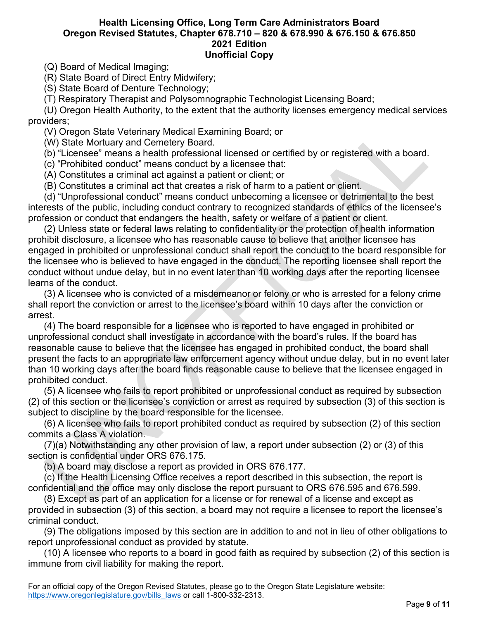# (Q) Board of Medical Imaging;

(R) State Board of Direct Entry Midwifery;

(S) State Board of Denture Technology;

(T) Respiratory Therapist and Polysomnographic Technologist Licensing Board;

 (U) Oregon Health Authority, to the extent that the authority licenses emergency medical services providers;

(V) Oregon State Veterinary Medical Examining Board; or

(W) State Mortuary and Cemetery Board.

(b) "Licensee" means a health professional licensed or certified by or registered with a board.

(c) "Prohibited conduct" means conduct by a licensee that:

(A) Constitutes a criminal act against a patient or client; or

(B) Constitutes a criminal act that creates a risk of harm to a patient or client.

 (d) "Unprofessional conduct" means conduct unbecoming a licensee or detrimental to the best interests of the public, including conduct contrary to recognized standards of ethics of the licensee's profession or conduct that endangers the health, safety or welfare of a patient or client.

 (2) Unless state or federal laws relating to confidentiality or the protection of health information prohibit disclosure, a licensee who has reasonable cause to believe that another licensee has engaged in prohibited or unprofessional conduct shall report the conduct to the board responsible for the licensee who is believed to have engaged in the conduct. The reporting licensee shall report the conduct without undue delay, but in no event later than 10 working days after the reporting licensee learns of the conduct.

 (3) A licensee who is convicted of a misdemeanor or felony or who is arrested for a felony crime shall report the conviction or arrest to the licensee's board within 10 days after the conviction or arrest.

 (4) The board responsible for a licensee who is reported to have engaged in prohibited or unprofessional conduct shall investigate in accordance with the board's rules. If the board has reasonable cause to believe that the licensee has engaged in prohibited conduct, the board shall present the facts to an appropriate law enforcement agency without undue delay, but in no event later than 10 working days after the board finds reasonable cause to believe that the licensee engaged in prohibited conduct.

 (5) A licensee who fails to report prohibited or unprofessional conduct as required by subsection (2) of this section or the licensee's conviction or arrest as required by subsection (3) of this section is subject to discipline by the board responsible for the licensee.

 (6) A licensee who fails to report prohibited conduct as required by subsection (2) of this section commits a Class A violation.

 (7)(a) Notwithstanding any other provision of law, a report under subsection (2) or (3) of this section is confidential under ORS 676.175.

(b) A board may disclose a report as provided in ORS 676.177.

 (c) If the Health Licensing Office receives a report described in this subsection, the report is confidential and the office may only disclose the report pursuant to ORS 676.595 and 676.599.

 (8) Except as part of an application for a license or for renewal of a license and except as provided in subsection (3) of this section, a board may not require a licensee to report the licensee's criminal conduct.

 (9) The obligations imposed by this section are in addition to and not in lieu of other obligations to report unprofessional conduct as provided by statute.

 (10) A licensee who reports to a board in good faith as required by subsection (2) of this section is immune from civil liability for making the report.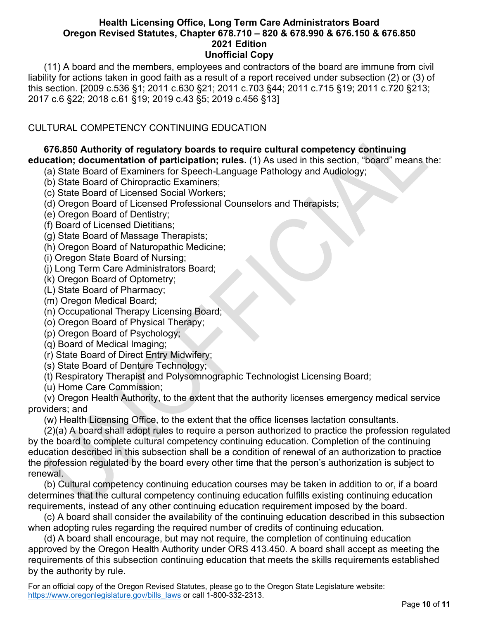(11) A board and the members, employees and contractors of the board are immune from civil liability for actions taken in good faith as a result of a report received under subsection (2) or (3) of this section. [2009 c.536 §1; 2011 c.630 §21; 2011 c.703 §44; 2011 c.715 §19; 2011 c.720 §213; 2017 c.6 §22; 2018 c.61 §19; 2019 c.43 §5; 2019 c.456 §13]

# CULTURAL COMPETENCY CONTINUING EDUCATION

# **676.850 Authority of regulatory boards to require cultural competency continuing education; documentation of participation; rules.** (1) As used in this section, "board" means the:

(a) State Board of Examiners for Speech-Language Pathology and Audiology;

- (b) State Board of Chiropractic Examiners;
- (c) State Board of Licensed Social Workers;
- (d) Oregon Board of Licensed Professional Counselors and Therapists;
- (e) Oregon Board of Dentistry;
- (f) Board of Licensed Dietitians;
- (g) State Board of Massage Therapists;
- (h) Oregon Board of Naturopathic Medicine;
- (i) Oregon State Board of Nursing;
- (j) Long Term Care Administrators Board;
- (k) Oregon Board of Optometry;
- (L) State Board of Pharmacy;
- (m) Oregon Medical Board;
- (n) Occupational Therapy Licensing Board;
- (o) Oregon Board of Physical Therapy;
- (p) Oregon Board of Psychology;
- (q) Board of Medical Imaging;
- (r) State Board of Direct Entry Midwifery;
- (s) State Board of Denture Technology;
- (t) Respiratory Therapist and Polysomnographic Technologist Licensing Board;
- (u) Home Care Commission;

 (v) Oregon Health Authority, to the extent that the authority licenses emergency medical service providers; and

(w) Health Licensing Office, to the extent that the office licenses lactation consultants.

 (2)(a) A board shall adopt rules to require a person authorized to practice the profession regulated by the board to complete cultural competency continuing education. Completion of the continuing education described in this subsection shall be a condition of renewal of an authorization to practice the profession regulated by the board every other time that the person's authorization is subject to renewal.

 (b) Cultural competency continuing education courses may be taken in addition to or, if a board determines that the cultural competency continuing education fulfills existing continuing education requirements, instead of any other continuing education requirement imposed by the board.

 (c) A board shall consider the availability of the continuing education described in this subsection when adopting rules regarding the required number of credits of continuing education.

 (d) A board shall encourage, but may not require, the completion of continuing education approved by the Oregon Health Authority under ORS 413.450. A board shall accept as meeting the requirements of this subsection continuing education that meets the skills requirements established by the authority by rule.